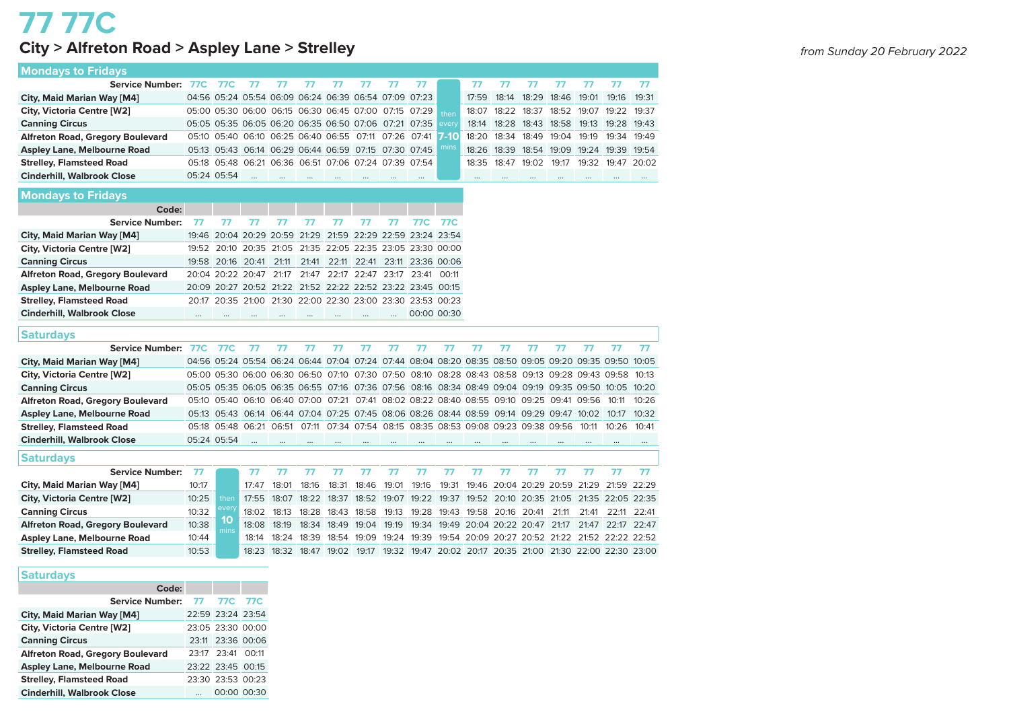## **77 77C City > Alfreton Road > Aspley Lane > Strelley**

| <b>Mondays to Fridays</b>               |            |             |                                                       |                                           |           |           |           |                   |                                                                                                 |          |       |       |                         |                   |       |             |       |
|-----------------------------------------|------------|-------------|-------------------------------------------------------|-------------------------------------------|-----------|-----------|-----------|-------------------|-------------------------------------------------------------------------------------------------|----------|-------|-------|-------------------------|-------------------|-------|-------------|-------|
| <b>Service Number:</b>                  | 77C        | <b>77C</b>  | 77                                                    | 77                                        | 77        | 77        | 77        | 77                | 77                                                                                              |          | 77    | 77    | 77                      | 77                | 77    | 77          | 77    |
| City, Maid Marian Way [M4]              |            |             | 04:56 05:24 05:54 06:09 06:24 06:39 06:54 07:09 07:23 |                                           |           |           |           |                   |                                                                                                 |          | 17:59 | 18:14 | 18:29                   | 18:46             | 19:01 | 19:16       | 19:31 |
| City, Victoria Centre [W2]              |            |             | 05:00 05:30 06:00 06:15 06:30 06:45 07:00             |                                           |           |           |           | 07:15             | 07:29                                                                                           | then     | 18:07 | 18:22 | 18:37                   | 18:52             | 19:07 | 19:22       | 19:37 |
| <b>Canning Circus</b>                   |            |             | 05:05 05:35 06:05 06:20 06:35 06:50 07:06 07:21 07:35 |                                           |           |           |           |                   |                                                                                                 | every    | 18:14 | 18:28 | 18:43                   | 18:58             | 19:13 | 19:28       | 19:43 |
| <b>Alfreton Road, Gregory Boulevard</b> |            | 05:10 05:40 |                                                       | 06:10 06:25 06:40 06:55 07:11             |           |           |           | 07:26 07:41       |                                                                                                 | 7-10     | 18:20 | 18:34 | 18:49                   | 19:04             | 19:19 | 19:34       | 19:49 |
| <b>Aspley Lane, Melbourne Road</b>      |            |             | 05:13 05:43 06:14 06:29 06:44 06:59 07:15             |                                           |           |           |           | 07:30 07:45       |                                                                                                 | mins     | 18:26 | 18:39 | 18:54                   | 19:09             | 19:24 | 19:39       | 19:54 |
| <b>Strelley, Flamsteed Road</b>         |            | 05:18 05:48 |                                                       | 06:21 06:36 06:51 07:06 07:24 07:39 07:54 |           |           |           |                   |                                                                                                 |          | 18:35 | 18:47 | 19:02                   | 19:17             | 19:32 | 19:47       | 20:02 |
| <b>Cinderhill, Walbrook Close</b>       |            | 05:24 05:54 | $\ddotsc$                                             |                                           | $\cdots$  | $\cdots$  |           |                   |                                                                                                 |          |       |       |                         | $\cdots$          |       | $\cdots$    |       |
| <b>Mondays to Fridays</b>               |            |             |                                                       |                                           |           |           |           |                   |                                                                                                 |          |       |       |                         |                   |       |             |       |
| Code:                                   |            |             |                                                       |                                           |           |           |           |                   |                                                                                                 |          |       |       |                         |                   |       |             |       |
| <b>Service Number:</b>                  | 77         | 77          | 77                                                    | 77                                        | 77        | 77        | 77        | 77                | 77C                                                                                             | 77C      |       |       |                         |                   |       |             |       |
| City, Maid Marian Way [M4]              | 19:46      |             | 20:04 20:29                                           | 20:59                                     | 21:29     | 21:59     | 22:29     |                   | 22:59 23:24 23:54                                                                               |          |       |       |                         |                   |       |             |       |
| City, Victoria Centre [W2]              | 19:52      | 20:10       | 20:35 21:05                                           |                                           |           |           |           |                   | 21:35 22:05 22:35 23:05 23:30 00:00                                                             |          |       |       |                         |                   |       |             |       |
| <b>Canning Circus</b>                   |            | 19:58 20:16 | 20:41                                                 | 21:11                                     | 21:41     | 22:11     | 22:41     |                   | 23:11 23:36 00:06                                                                               |          |       |       |                         |                   |       |             |       |
| <b>Alfreton Road, Gregory Boulevard</b> |            |             | 20:04 20:22 20:47                                     | 21:17                                     | 21:47     |           |           | 22:17 22:47 23:17 | 23:41 00:11                                                                                     |          |       |       |                         |                   |       |             |       |
| <b>Aspley Lane, Melbourne Road</b>      |            |             | 20:09 20:27 20:52 21:22                               |                                           |           |           |           |                   | 21:52 22:22 22:52 23:22 23:45 00:15                                                             |          |       |       |                         |                   |       |             |       |
| <b>Strelley, Flamsteed Road</b>         | 20:17      | 20:35       |                                                       |                                           |           |           |           |                   | 21:00 21:30 22:00 22:30 23:00 23:30 23:53 00:23                                                 |          |       |       |                         |                   |       |             |       |
| <b>Cinderhill, Walbrook Close</b>       | $\cdots$   | $\ddotsc$   | $\ddotsc$                                             | $\ddotsc$                                 | $\ddotsc$ | $\ddotsc$ | $\ddotsc$ |                   | 00:00 00:30                                                                                     |          |       |       |                         |                   |       |             |       |
|                                         |            |             |                                                       |                                           |           |           |           |                   |                                                                                                 |          |       |       |                         |                   |       |             |       |
| <b>Saturdays</b>                        |            |             |                                                       |                                           |           |           |           |                   |                                                                                                 |          |       |       |                         |                   |       |             |       |
| <b>Service Number:</b>                  | <b>77C</b> | <b>77C</b>  | 77                                                    | 77                                        | 77        | 77        | 77        | 77                | 77                                                                                              | 77       | 77    | 77    | 77                      | 77                | 77    | 77          | 77    |
| City, Maid Marian Way [M4]              |            |             |                                                       |                                           |           |           |           |                   | 04:56 05:24 05:54 06:24 06:44 07:04 07:24 07:44 08:04 08:20 08:35 08:50 09:05 09:20 09:35 09:50 |          |       |       |                         |                   |       |             | 10:05 |
| City, Victoria Centre [W2]              |            |             | 05:00 05:30 06:00 06:30 06:50 07:10                   |                                           |           |           |           |                   | 07:30 07:50 08:10 08:28 08:43 08:58 09:13 09:28 09:43 09:58                                     |          |       |       |                         |                   |       |             | 10:13 |
| <b>Canning Circus</b>                   |            |             | 05:05 05:35 06:05 06:35 06:55 07:16                   |                                           |           |           |           |                   | 07:36 07:56 08:16 08:34 08:49 09:04 09:19 09:35 09:50 10:05                                     |          |       |       |                         |                   |       |             | 10:20 |
| <b>Alfreton Road, Gregory Boulevard</b> | 05:10      | 05:40       |                                                       |                                           |           |           |           |                   | 06:10 06:40 07:00 07:21 07:41 08:02 08:22 08:40 08:55 09:10 09:25                               |          |       |       |                         | 09:41 09:56       |       | 10:11       | 10:26 |
| <b>Aspley Lane, Melbourne Road</b>      |            |             |                                                       |                                           |           |           |           |                   | 05:13 05:43 06:14 06:44 07:04 07:25 07:45 08:06 08:26 08:44 08:59 09:14 09:29 09:47 10:02       |          |       |       |                         |                   |       | 10:17       | 10:32 |
| <b>Strelley, Flamsteed Road</b>         |            |             | 05:18 05:48 06:21 06:51                               |                                           |           |           |           |                   | 07:11 07:34 07:54 08:15 08:35 08:53 09:08 09:23 09:38 09:56                                     |          |       |       |                         |                   | 10:11 | 10:26       | 10:41 |
| <b>Cinderhill, Walbrook Close</b>       |            | 05:24 05:54 | $\ddotsc$                                             | $\ddotsc$                                 | $\cdots$  | $\cdots$  |           |                   |                                                                                                 | $\cdots$ |       |       |                         |                   |       |             |       |
| <b>Saturdays</b>                        |            |             |                                                       |                                           |           |           |           |                   |                                                                                                 |          |       |       |                         |                   |       |             |       |
| <b>Service Number:</b>                  | 77         |             | 77                                                    | 77                                        | 77        | 77        | 77        | 77                | 77                                                                                              | 77       | 77    | 77    | 77                      | 77                | 77    | 77          | 77    |
| City, Maid Marian Way [M4]              | 10:17      |             | 17:47                                                 | 18:01                                     | 18:16     | 18:31     | 18:46     | 19:01             | 19:16                                                                                           | 19:31    | 19:46 |       |                         | 20:04 20:29 20:59 | 21:29 | 21:59       | 22:29 |
| City, Victoria Centre [W2]              | 10:25      | then        | 17:55                                                 | 18:07                                     | 18:22     | 18:37     | 18:52     | 19:07             | 19:22                                                                                           | 19:37    | 19:52 |       | 20:10 20:35             | 21:05             |       | 21:35 22:05 | 22:35 |
| <b>Canning Circus</b>                   | 10:32      | every       | 18:02                                                 | 18:13                                     | 18:28     | 18:43     | 18:58     | 19:13             | 19:28                                                                                           | 19:43    | 19:58 | 20:16 | 20:41                   | 21:11             | 21:41 | 22:11       | 22:41 |
| <b>Alfreton Road, Gregory Boulevard</b> | 10:38      | 10          | 18:08                                                 | 18:19                                     | 18:34     | 18:49     | 19:04     | 19:19             | 19:34                                                                                           | 19:49    |       |       | 20:04 20:22 20:47       | 21:17             | 21:47 | 22:17       | 22:47 |
| Aspley Lane, Melbourne Road             | 10:44      | mins        | 18:14                                                 | 18:24                                     | 18:39     | 18:54     | 19:09     | 19:24             | 19:39                                                                                           | 19:54    |       |       | 20:09 20:27 20:52 21:22 |                   |       | 21:52 22:22 | 22:52 |
| <b>Strelley, Flamsteed Road</b>         | 10:53      |             | 18:23                                                 | 18:32                                     | 18:47     | 19:02     | 19:17     | 19:32             | 19:47 20:02 20:17 20:35 21:00 21:30 22:00 22:30 23:00                                           |          |       |       |                         |                   |       |             |       |
|                                         |            |             |                                                       |                                           |           |           |           |                   |                                                                                                 |          |       |       |                         |                   |       |             |       |

### **Saturdays**

| Code:                                   |                   |  |
|-----------------------------------------|-------------------|--|
| Service Number: 77 77C 77C              |                   |  |
| City, Maid Marian Way [M4]              | 22:59 23:24 23:54 |  |
| City, Victoria Centre [W2]              | 23:05 23:30 00:00 |  |
| <b>Canning Circus</b>                   | 23:11 23:36 00:06 |  |
| <b>Alfreton Road, Gregory Boulevard</b> | 23:17 23:41 00:11 |  |
| <b>Aspley Lane, Melbourne Road</b>      | 23:22 23:45 00:15 |  |
| <b>Strelley, Flamsteed Road</b>         | 23:30 23:53 00:23 |  |
| <b>Cinderhill, Walbrook Close</b>       | 00:00 00:30       |  |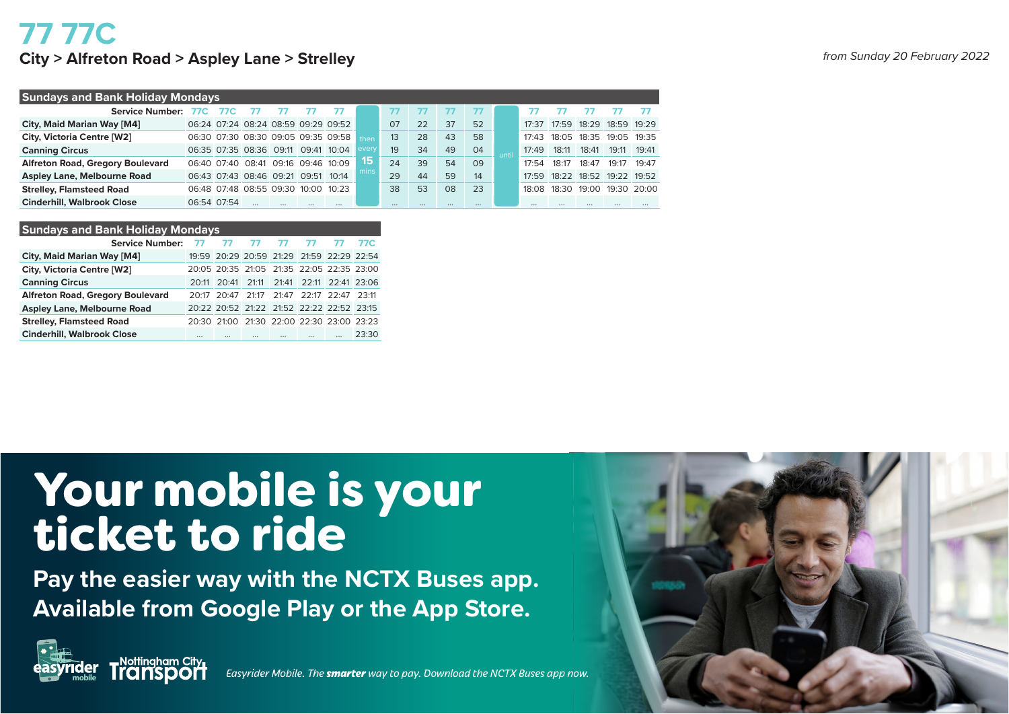## **77 77C City > Alfreton Road > Aspley Lane > Strelley**

| from Sunday 20 February 2022 |  |
|------------------------------|--|
|------------------------------|--|

| <b>Sundays and Bank Holiday Mondays</b> |             |                                     |          |       |                                     |       |          |    |    |          |       |                    |       |                   |             |             |
|-----------------------------------------|-------------|-------------------------------------|----------|-------|-------------------------------------|-------|----------|----|----|----------|-------|--------------------|-------|-------------------|-------------|-------------|
| Service Number:                         | 77C         | 77C                                 |          |       |                                     |       |          |    |    |          |       |                    |       |                   |             |             |
| City, Maid Marian Way [M4]              |             |                                     |          |       | 06:24 07:24 08:24 08:59 09:29 09:52 |       | 07       | 22 | 37 | 52       |       | 17.37              | 17:59 | 18:29 18:59 19:29 |             |             |
| City, Victoria Centre [W2]              |             |                                     |          |       | 06:30 07:30 08:30 09:05 09:35 09:58 | then  | 13       | 28 | 43 | 58       |       | 17.43              | 18:05 | 18:35             | 19:05 19:35 |             |
| <b>Canning Circus</b>                   |             | 06:35 07:35 08:36 09:11 09:41 10:04 |          |       |                                     | every | 19       | 34 | 49 | 04       | until | 17:49              | 18:11 | 18:41             | 19:11       | 19.41       |
| <b>Alfreton Road, Gregory Boulevard</b> |             | 06:40 07:40 08:41 09:16 09:46 10:09 |          |       |                                     | 15    | 24       | 39 | 54 | 09       |       | 17:54              | 18:17 | 18:47             | 19:17       | 19.47       |
| <b>Aspley Lane, Melbourne Road</b>      |             | 06:43 07:43 08:46 09:21 09:51       |          |       | 10.14                               | mins  | 29       | 44 | 59 | 14       |       | 17:59              | 18:22 | 18:52 19:22 19:52 |             |             |
| <b>Strelley, Flamsteed Road</b>         |             | 06:48 07:48 08:55 09:30             |          | 10:00 | 10:23                               |       | 38       | 53 | 08 | 23       |       | 18 <sup>.</sup> 08 | 18:30 | 19:00             |             | 19:30 20:00 |
| <b>Cinderhill, Walbrook Close</b>       | 06:54 07:54 |                                     | $\cdots$ |       |                                     |       | $\cdots$ |    |    | $\cdots$ |       |                    |       |                   | $\cdots$    |             |

### **Sundays and Bank Holiday Mondays**

| Service Number: 77                      |          | - 77 - 77                                 |              |  | 77C   |
|-----------------------------------------|----------|-------------------------------------------|--------------|--|-------|
| City, Maid Marian Way [M4]              |          | 19:59 20:29 20:59 21:29 21:59 22:29 22:54 |              |  |       |
| City, Victoria Centre [W2]              |          | 20:05 20:35 21:05 21:35 22:05 22:35 23:00 |              |  |       |
| <b>Canning Circus</b>                   |          | 20:11 20:41 21:11 21:41 22:11 22:41 23:06 |              |  |       |
| <b>Alfreton Road, Gregory Boulevard</b> |          | 20:17 20:47 21:17 21:47 22:17 22:47 23:11 |              |  |       |
| <b>Aspley Lane, Melbourne Road</b>      |          | 20:22 20:52 21:22 21:52 22:22 22:52 23:15 |              |  |       |
| <b>Strelley, Flamsteed Road</b>         |          | 20:30 21:00 21:30 22:00 22:30 23:00 23:23 |              |  |       |
| <b>Cinderhill, Walbrook Close</b>       | $\cdots$ |                                           | <br>$\cdots$ |  | 23.30 |

# Your mobile is your ticket to ride

**Pay the easier way with the NCTX Buses app. Available from Google Play or the App Store.**



**mobile** *Easyrider Mobile. The smarter way to pay. Download the NCTX Buses app now.*

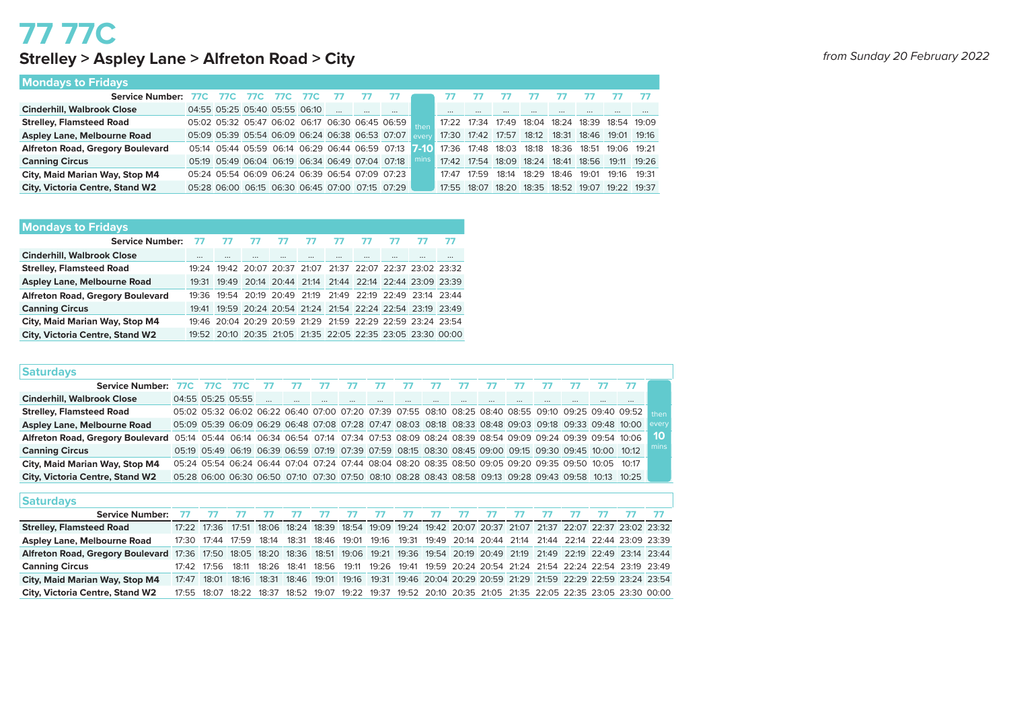## **77 77C Strelley > Aspley Lane > Alfreton Road > City** *from Sunday 20 February 2022*

|  | from Sunday 20 February 2022 |  |
|--|------------------------------|--|
|--|------------------------------|--|

|  |  |  | <b>Mondays to Fridays</b> |
|--|--|--|---------------------------|
|--|--|--|---------------------------|

| <b>Cinderhill, Walbrook Close</b>       | 04:55 05:25 05:40 05:55 06:10                        |  |  |                                                 |                                                       |      | $\cdots$                                        |       |       |       |                                                 |       |             |             |
|-----------------------------------------|------------------------------------------------------|--|--|-------------------------------------------------|-------------------------------------------------------|------|-------------------------------------------------|-------|-------|-------|-------------------------------------------------|-------|-------------|-------------|
| <b>Strelley, Flamsteed Road</b>         | 05:02 05:32 05:47 06:02 06:17 06:30 06:45 06:59 then |  |  |                                                 |                                                       |      | 17:22 17:34 17:49 18:04 18:24 18:39 18:54 19:09 |       |       |       |                                                 |       |             |             |
| <b>Aspley Lane, Melbourne Road</b>      |                                                      |  |  |                                                 | 05:09 05:39 05:54 06:09 06:24 06:38 06:53 07:07 every |      | 17:30 17:42 17:57                               |       |       |       | 18:12  18:31  18:46  19:01  19:16               |       |             |             |
| <b>Alfreton Road, Gregory Boulevard</b> |                                                      |  |  |                                                 | 05:14 05:44 05:59 06:14 06:29 06:44 06:59 07:13 7-10  |      |                                                 |       |       |       | 17:36 17:48 18:03 18:18 18:36 18:51 19:06 19:21 |       |             |             |
| <b>Canning Circus</b>                   |                                                      |  |  | 05:19 05:49 06:04 06:19 06:34 06:49 07:04 07:18 |                                                       | mins |                                                 |       |       |       | 17:42 17:54 18:09 18:24 18:41 18:56             |       |             | 19:11 19:26 |
| City, Maid Marian Way, Stop M4          |                                                      |  |  |                                                 | 05:24 05:54 06:09 06:24 06:39 06:54 07:09 07:23       |      | 17.47                                           | 17:59 | 18:14 | 18:29 | 18:46                                           | 19:01 | 19:16 19:31 |             |
| <b>City, Victoria Centre, Stand W2</b>  |                                                      |  |  |                                                 | 05:28 06:00 06:15 06:30 06:45 07:00 07:15 07:29       |      | 17:55 18:07                                     |       | 18:20 |       | 18:35 18:52 19:07                               |       | 19:22 19:37 |             |

### **Mondays to Fridays**

| Service Number: 77                      |          |          | דד דד דד דד דד                                              |          |          | - 77     |          |          |  |
|-----------------------------------------|----------|----------|-------------------------------------------------------------|----------|----------|----------|----------|----------|--|
| <b>Cinderhill, Walbrook Close</b>       | $\cdots$ | $\cdots$ | $\cdots$                                                    | $\cdots$ | $\cdots$ | $\cdots$ | $\cdots$ | $\cdots$ |  |
| <b>Strelley, Flamsteed Road</b>         |          |          | 19:24 19:42 20:07 20:37 21:07 21:37 22:07 22:37 23:02 23:32 |          |          |          |          |          |  |
| Aspley Lane, Melbourne Road             |          |          | 19:31 19:49 20:14 20:44 21:14 21:44 22:14 22:44 23:09 23:39 |          |          |          |          |          |  |
| <b>Alfreton Road, Gregory Boulevard</b> |          |          | 19:36 19:54 20:19 20:49 21:19 21:49 22:19 22:49 23:14 23:44 |          |          |          |          |          |  |
| <b>Canning Circus</b>                   |          |          | 19:41 19:59 20:24 20:54 21:24 21:54 22:24 22:54 23:19 23:49 |          |          |          |          |          |  |
| City, Maid Marian Way, Stop M4          |          |          | 19:46 20:04 20:29 20:59 21:29 21:59 22:29 22:59 23:24 23:54 |          |          |          |          |          |  |
| <b>City, Victoria Centre, Stand W2</b>  |          |          | 19:52 20:10 20:35 21:05 21:35 22:05 22:35 23:05 23:30 00:00 |          |          |          |          |          |  |

| <b>Saturdays</b>                        |       |                   |                                                                                           |       |             |       |                                                       |       |          |       |             |                         |       |          |                                                                         |             |                               |       |
|-----------------------------------------|-------|-------------------|-------------------------------------------------------------------------------------------|-------|-------------|-------|-------------------------------------------------------|-------|----------|-------|-------------|-------------------------|-------|----------|-------------------------------------------------------------------------|-------------|-------------------------------|-------|
| <b>Service Number:</b>                  | 77C   | 77C               | 77C                                                                                       | 77    | 77          | 77    | 77                                                    | 77    | 77       | 77    |             | 77                      | 77    | 77       | 77                                                                      | 77          | 77                            |       |
| <b>Cinderhill, Walbrook Close</b>       |       | 04:55 05:25 05:55 |                                                                                           |       |             |       |                                                       |       | $\cdots$ |       |             |                         |       | $\cdots$ |                                                                         |             | $\cdots$                      |       |
| <b>Strelley, Flamsteed Road</b>         |       |                   | 05:02 05:32 06:02 06:22                                                                   |       | 06:40 07:00 |       | 07:20                                                 | 07:39 | 07:55    | 08:10 | 08:25       | 08:40 08:55             |       | 09:10    | 09:25                                                                   | 09:40 09:52 |                               | then  |
| <b>Aspley Lane, Melbourne Road</b>      |       |                   | 05:09 05:39 06:09 06:29                                                                   |       |             |       | 06:48 07:08 07:28 07:47 08:03 08:18 08:33 08:48 09:03 |       |          |       |             |                         |       | 09:18    | 09:33 09:48 10:00                                                       |             |                               | every |
| <b>Alfreton Road, Gregory Boulevard</b> | 05:14 | $05.44$ $06.14$   |                                                                                           | 06:34 | 06:54 07:14 |       |                                                       |       |          |       |             |                         |       |          | 07:34 07:53 08:09 08:24 08:39 08:54 09:09 09:24 09:39 09:54 10:06       |             |                               | 10    |
| <b>Canning Circus</b>                   |       | 05:19 05:49 06:19 |                                                                                           | 06:39 | 06:59 07:19 |       |                                                       |       |          |       |             |                         |       |          | 07:39 07:59 08:15 08:30 08:45 09:00 09:15 09:30 09:45 10:00 10:12       |             |                               | mins  |
| City, Maid Marian Way, Stop M4          |       |                   | 05:24 05:54 06:24 06:44                                                                   |       |             |       |                                                       |       |          |       |             |                         |       |          | 07:04 07:24 07:44 08:04 08:20 08:35 08:50 09:05 09:20 09:35 09:50 10:05 |             | 10.17                         |       |
| <b>City, Victoria Centre, Stand W2</b>  |       |                   | 05:28 06:00 06:30 06:50 07:10 07:30 07:50 08:10 08:28 08:43 08:58 09:13 09:28 09:43 09:58 |       |             |       |                                                       |       |          |       |             |                         |       |          |                                                                         | 10:13       | 10:25                         |       |
|                                         |       |                   |                                                                                           |       |             |       |                                                       |       |          |       |             |                         |       |          |                                                                         |             |                               |       |
| Saturdays                               |       |                   |                                                                                           |       |             |       |                                                       |       |          |       |             |                         |       |          |                                                                         |             |                               |       |
| <b>Service Number:</b>                  | 77    | 77                | 77                                                                                        | 77    | 77          | 77    | 77                                                    | 77    | 77       | 77    | 77          | 77                      | 77    | 77       | 77                                                                      | 77          |                               | 77    |
| <b>Strelley, Flamsteed Road</b>         | 17:22 | 17:36             | 17:51                                                                                     | 18:06 | 18:24       | 18:39 | 18:54                                                 | 19:09 | 19:24    |       | 19:42 20:07 | 20:37                   | 21:07 | 21:37    |                                                                         |             | 22:07 22:37 23:02 23:32       |       |
| Aspley Lane, Melbourne Road             | 17:30 | 17.44             | 17:59                                                                                     | 18:14 | 18:31       | 18:46 | 19:01                                                 | 19:16 | 19:31    | 19:49 | 20:14       | 20:44                   | 21:14 | 21:44    |                                                                         |             | 22:14 22:44 23:09 23:39       |       |
| <b>Alfreton Road, Gregory Boulevard</b> | 17.36 | 17.50             | 18:05                                                                                     | 18:20 | 18:36       | 18:51 | 19:06                                                 | 19:21 | 19:36    | 19:54 |             | 20:19 20:49             | 21:19 | 21:49    | $22.19$ $22.49$                                                         |             | 23.14 23.44                   |       |
| <b>Canning Circus</b>                   | 17:42 | 17:56             | 18:11                                                                                     | 18:26 | 18:41       | 18:56 | 19:11                                                 | 19:26 | 19:41    | 19:59 |             | 20:24 20:54 21:24       |       | 21:54    | 22:24 22:54                                                             |             | 23:19                         | 23.49 |
| City, Maid Marian Way, Stop M4          | 17:47 | 18:01             | 18:16                                                                                     | 18:31 | 18:46       | 19:01 | 19:16                                                 | 19:31 | 19:46    |       |             | 20:04 20:29 20:59 21:29 |       | 21:59    |                                                                         |             | 22:29 22:59 23:24 23:54       |       |
| City, Victoria Centre, Stand W2         | 17.55 | 18:07             | 18:22                                                                                     | 18:37 | 18:52       | 19:07 | 19:22                                                 | 19:37 | 19:52    | 20:10 | 20:35       | 21:05                   | 21:35 |          |                                                                         |             | 22:05 22:35 23:05 23:30 00:00 |       |
|                                         |       |                   |                                                                                           |       |             |       |                                                       |       |          |       |             |                         |       |          |                                                                         |             |                               |       |